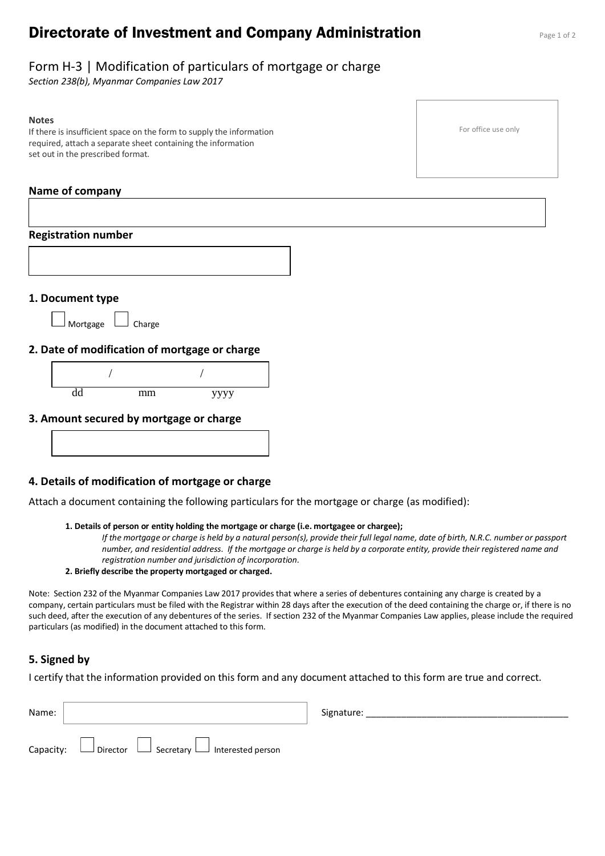# **Directorate of Investment and Company Administration** Page 1 of 2

# Form H-3 | Modification of particulars of mortgage or charge

*Section 238(b), Myanmar Companies Law 2017*

#### **Notes**

If there is insufficient space on the form to supply the information required, attach a separate sheet containing the information set out in the prescribed format.

### **Name of company**

| <b>Registration number</b> |          |        |                                               |  |
|----------------------------|----------|--------|-----------------------------------------------|--|
|                            |          |        |                                               |  |
| 1. Document type           |          |        |                                               |  |
|                            | Mortgage | Charge |                                               |  |
|                            |          |        | 2. Date of modification of mortgage or charge |  |
|                            |          |        |                                               |  |
|                            | dd       | mm     | уууу                                          |  |
|                            |          |        |                                               |  |
|                            |          |        | 3. Amount secured by mortgage or charge       |  |

### **4. Details of modification of mortgage or charge**

Attach a document containing the following particulars for the mortgage or charge (as modified):

#### **1. Details of person or entity holding the mortgage or charge (i.e. mortgagee or chargee);**

*If the mortgage or charge is held by a natural person(s), provide their full legal name, date of birth, N.R.C. number or passport number, and residential address. If the mortgage or charge is held by a corporate entity, provide their registered name and registration number and jurisdiction of incorporation.*

#### **2. Briefly describe the property mortgaged or charged.**

Note: Section 232 of the Myanmar Companies Law 2017 provides that where a series of debentures containing any charge is created by a company, certain particulars must be filed with the Registrar within 28 days after the execution of the deed containing the charge or, if there is no such deed, after the execution of any debentures of the series. If section 232 of the Myanmar Companies Law applies, please include the required particulars (as modified) in the document attached to this form.

### **5. Signed by**

I certify that the information provided on this form and any document attached to this form are true and correct.

| Name: |                                                                     | Signature: |
|-------|---------------------------------------------------------------------|------------|
|       | Capacity: $\Box$ Director $\Box$ Secretary $\Box$ Interested person |            |

For office use only